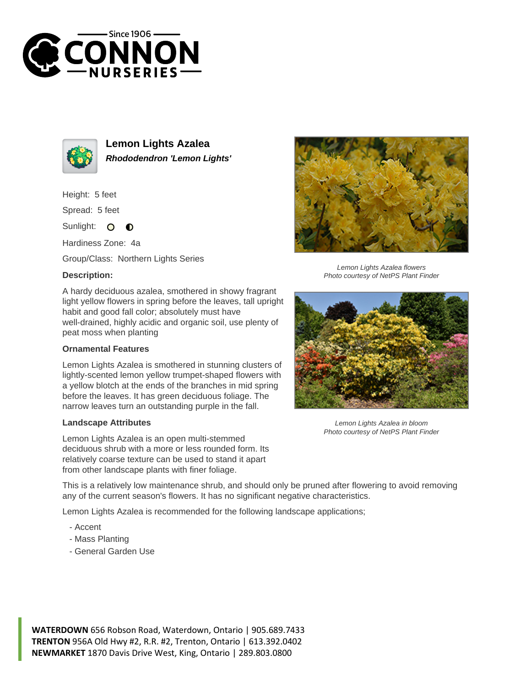



**Lemon Lights Azalea Rhododendron 'Lemon Lights'**

Height: 5 feet

Spread: 5 feet

Sunlight: O  $\bullet$ 

Hardiness Zone: 4a

Group/Class: Northern Lights Series

## **Description:**

A hardy deciduous azalea, smothered in showy fragrant light yellow flowers in spring before the leaves, tall upright habit and good fall color; absolutely must have well-drained, highly acidic and organic soil, use plenty of peat moss when planting

## **Ornamental Features**

Lemon Lights Azalea is smothered in stunning clusters of lightly-scented lemon yellow trumpet-shaped flowers with a yellow blotch at the ends of the branches in mid spring before the leaves. It has green deciduous foliage. The narrow leaves turn an outstanding purple in the fall.

## **Landscape Attributes**

Lemon Lights Azalea is an open multi-stemmed deciduous shrub with a more or less rounded form. Its relatively coarse texture can be used to stand it apart from other landscape plants with finer foliage.

This is a relatively low maintenance shrub, and should only be pruned after flowering to avoid removing any of the current season's flowers. It has no significant negative characteristics.

Lemon Lights Azalea is recommended for the following landscape applications;

- Accent
- Mass Planting
- General Garden Use



Lemon Lights Azalea flowers Photo courtesy of NetPS Plant Finder



Lemon Lights Azalea in bloom Photo courtesy of NetPS Plant Finder

**WATERDOWN** 656 Robson Road, Waterdown, Ontario | 905.689.7433 **TRENTON** 956A Old Hwy #2, R.R. #2, Trenton, Ontario | 613.392.0402 **NEWMARKET** 1870 Davis Drive West, King, Ontario | 289.803.0800